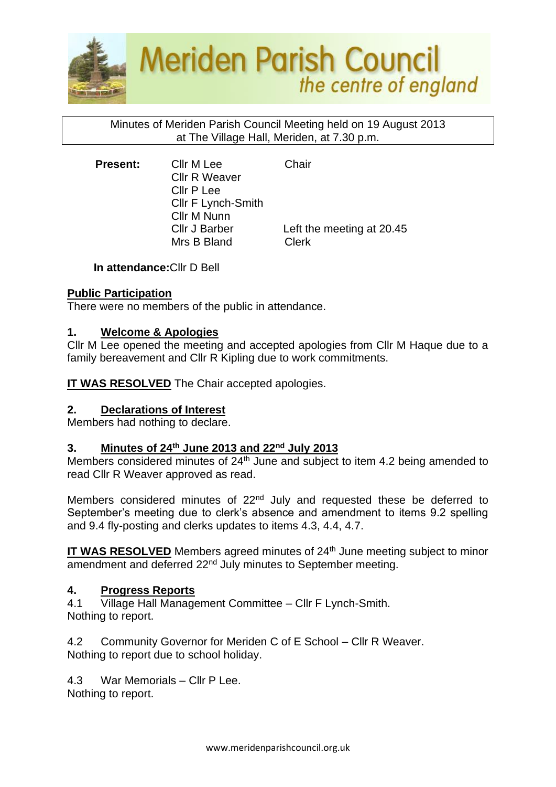

### Minutes of Meriden Parish Council Meeting held on 19 August 2013 at The Village Hall, Meriden, at 7.30 p.m.

**Present:** Cllr M Lee Chair Cllr R Weaver Cllr P Lee Cllr F Lynch-Smith Cllr M Nunn Mrs B Bland Clerk

Cllr J Barber Left the meeting at 20.45

**In attendance:**Cllr D Bell

# **Public Participation**

There were no members of the public in attendance.

# **1. Welcome & Apologies**

Cllr M Lee opened the meeting and accepted apologies from Cllr M Haque due to a family bereavement and Cllr R Kipling due to work commitments.

**IT WAS RESOLVED** The Chair accepted apologies.

# **2. Declarations of Interest**

Members had nothing to declare.

# **3. Minutes of 24th June 2013 and 22nd July 2013**

Members considered minutes of 24<sup>th</sup> June and subject to item 4.2 being amended to read Cllr R Weaver approved as read.

Members considered minutes of 22<sup>nd</sup> July and requested these be deferred to September's meeting due to clerk's absence and amendment to items 9.2 spelling and 9.4 fly-posting and clerks updates to items 4.3, 4.4, 4.7.

**IT WAS RESOLVED** Members agreed minutes of 24<sup>th</sup> June meeting subject to minor amendment and deferred 22<sup>nd</sup> July minutes to September meeting.

# **4. Progress Reports**

4.1 Village Hall Management Committee – Cllr F Lynch-Smith. Nothing to report.

4.2 Community Governor for Meriden C of E School – Cllr R Weaver. Nothing to report due to school holiday.

4.3 War Memorials – Cllr P Lee.

Nothing to report.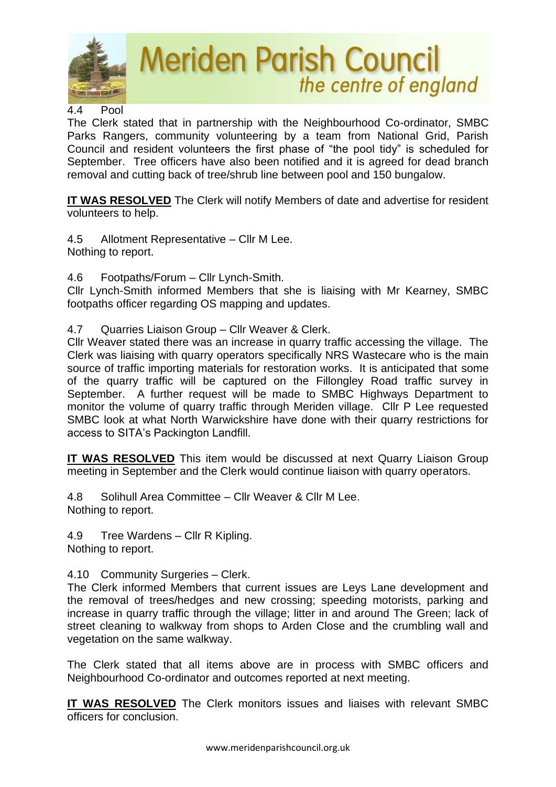

#### 4.4 Pool

The Clerk stated that in partnership with the Neighbourhood Co-ordinator, SMBC Parks Rangers, community volunteering by a team from National Grid, Parish Council and resident volunteers the first phase of "the pool tidy" is scheduled for September. Tree officers have also been notified and it is agreed for dead branch removal and cutting back of tree/shrub line between pool and 150 bungalow.

**IT WAS RESOLVED** The Clerk will notify Members of date and advertise for resident volunteers to help.

4.5 Allotment Representative – Cllr M Lee. Nothing to report.

4.6 Footpaths/Forum – Cllr Lynch-Smith.

Cllr Lynch-Smith informed Members that she is liaising with Mr Kearney, SMBC footpaths officer regarding OS mapping and updates.

4.7 Quarries Liaison Group – Cllr Weaver & Clerk.

Cllr Weaver stated there was an increase in quarry traffic accessing the village. The Clerk was liaising with quarry operators specifically NRS Wastecare who is the main source of traffic importing materials for restoration works. It is anticipated that some of the quarry traffic will be captured on the Fillongley Road traffic survey in September. A further request will be made to SMBC Highways Department to monitor the volume of quarry traffic through Meriden village. Cllr P Lee requested SMBC look at what North Warwickshire have done with their quarry restrictions for access to SITA's Packington Landfill.

**IT WAS RESOLVED** This item would be discussed at next Quarry Liaison Group meeting in September and the Clerk would continue liaison with quarry operators.

4.8 Solihull Area Committee – Cllr Weaver & Cllr M Lee. Nothing to report.

4.9 Tree Wardens – Cllr R Kipling.

Nothing to report.

4.10 Community Surgeries – Clerk.

The Clerk informed Members that current issues are Leys Lane development and the removal of trees/hedges and new crossing; speeding motorists, parking and increase in quarry traffic through the village; litter in and around The Green; lack of street cleaning to walkway from shops to Arden Close and the crumbling wall and vegetation on the same walkway.

The Clerk stated that all items above are in process with SMBC officers and Neighbourhood Co-ordinator and outcomes reported at next meeting.

**IT WAS RESOLVED** The Clerk monitors issues and liaises with relevant SMBC officers for conclusion.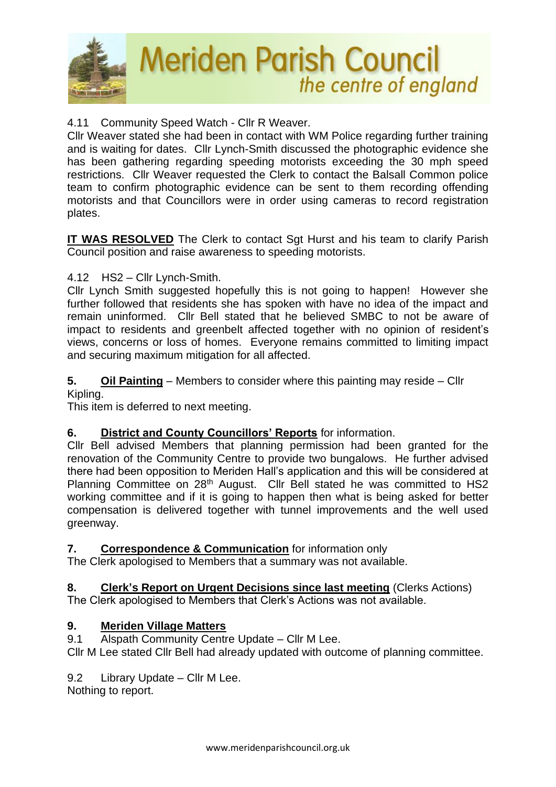

# 4.11 Community Speed Watch - Cllr R Weaver.

Cllr Weaver stated she had been in contact with WM Police regarding further training and is waiting for dates. Cllr Lynch-Smith discussed the photographic evidence she has been gathering regarding speeding motorists exceeding the 30 mph speed restrictions. Cllr Weaver requested the Clerk to contact the Balsall Common police team to confirm photographic evidence can be sent to them recording offending motorists and that Councillors were in order using cameras to record registration plates.

**IT WAS RESOLVED** The Clerk to contact Sgt Hurst and his team to clarify Parish Council position and raise awareness to speeding motorists.

# 4.12 HS2 – Cllr Lynch-Smith.

Cllr Lynch Smith suggested hopefully this is not going to happen! However she further followed that residents she has spoken with have no idea of the impact and remain uninformed. Cllr Bell stated that he believed SMBC to not be aware of impact to residents and greenbelt affected together with no opinion of resident's views, concerns or loss of homes. Everyone remains committed to limiting impact and securing maximum mitigation for all affected.

# **5. Oil Painting** – Members to consider where this painting may reside – Cllr

Kipling.

This item is deferred to next meeting.

# **6. District and County Councillors' Reports** for information.

Cllr Bell advised Members that planning permission had been granted for the renovation of the Community Centre to provide two bungalows. He further advised there had been opposition to Meriden Hall's application and this will be considered at Planning Committee on 28<sup>th</sup> August. Cllr Bell stated he was committed to HS2 working committee and if it is going to happen then what is being asked for better compensation is delivered together with tunnel improvements and the well used greenway.

#### **7. Correspondence & Communication** for information only

The Clerk apologised to Members that a summary was not available.

# **8. Clerk's Report on Urgent Decisions since last meeting** (Clerks Actions)

The Clerk apologised to Members that Clerk's Actions was not available.

# **9. Meriden Village Matters**

9.1 Alspath Community Centre Update – Cllr M Lee.

Cllr M Lee stated Cllr Bell had already updated with outcome of planning committee.

# 9.2 Library Update – Cllr M Lee.

Nothing to report.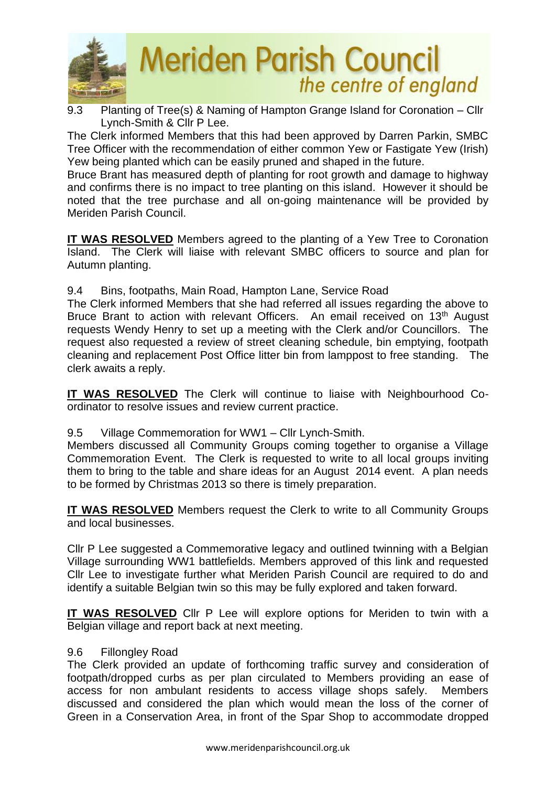

9.3 Planting of Tree(s) & Naming of Hampton Grange Island for Coronation – Cllr Lynch-Smith & Cllr P Lee.

The Clerk informed Members that this had been approved by Darren Parkin, SMBC Tree Officer with the recommendation of either common Yew or Fastigate Yew (Irish) Yew being planted which can be easily pruned and shaped in the future.

Bruce Brant has measured depth of planting for root growth and damage to highway and confirms there is no impact to tree planting on this island. However it should be noted that the tree purchase and all on-going maintenance will be provided by Meriden Parish Council.

**IT WAS RESOLVED** Members agreed to the planting of a Yew Tree to Coronation Island. The Clerk will liaise with relevant SMBC officers to source and plan for Autumn planting.

9.4 Bins, footpaths, Main Road, Hampton Lane, Service Road

The Clerk informed Members that she had referred all issues regarding the above to Bruce Brant to action with relevant Officers. An email received on 13<sup>th</sup> August requests Wendy Henry to set up a meeting with the Clerk and/or Councillors. The request also requested a review of street cleaning schedule, bin emptying, footpath cleaning and replacement Post Office litter bin from lamppost to free standing. The clerk awaits a reply.

**IT WAS RESOLVED** The Clerk will continue to liaise with Neighbourhood Coordinator to resolve issues and review current practice.

# 9.5 Village Commemoration for WW1 – Cllr Lynch-Smith.

Members discussed all Community Groups coming together to organise a Village Commemoration Event. The Clerk is requested to write to all local groups inviting them to bring to the table and share ideas for an August 2014 event. A plan needs to be formed by Christmas 2013 so there is timely preparation.

**IT WAS RESOLVED** Members request the Clerk to write to all Community Groups and local businesses.

Cllr P Lee suggested a Commemorative legacy and outlined twinning with a Belgian Village surrounding WW1 battlefields. Members approved of this link and requested Cllr Lee to investigate further what Meriden Parish Council are required to do and identify a suitable Belgian twin so this may be fully explored and taken forward.

**IT WAS RESOLVED** Cllr P Lee will explore options for Meriden to twin with a Belgian village and report back at next meeting.

# 9.6 Fillongley Road

The Clerk provided an update of forthcoming traffic survey and consideration of footpath/dropped curbs as per plan circulated to Members providing an ease of access for non ambulant residents to access village shops safely. Members discussed and considered the plan which would mean the loss of the corner of Green in a Conservation Area, in front of the Spar Shop to accommodate dropped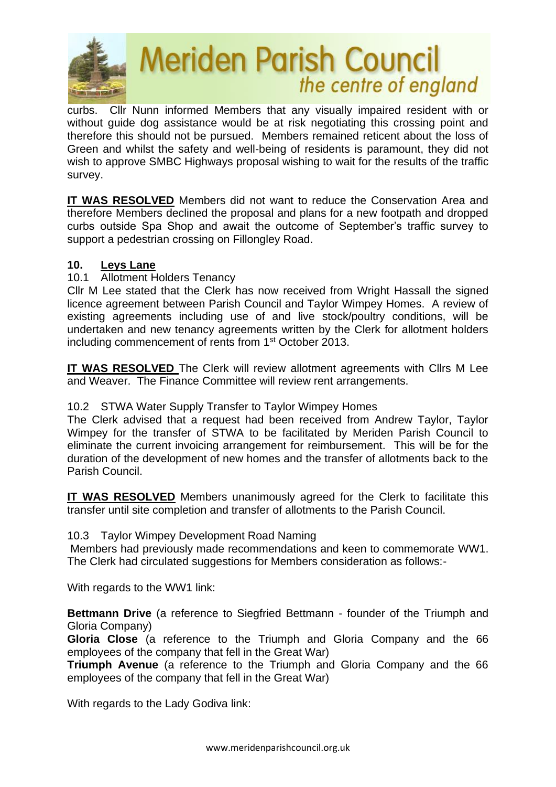

curbs. Cllr Nunn informed Members that any visually impaired resident with or without quide dog assistance would be at risk negotiating this crossing point and therefore this should not be pursued. Members remained reticent about the loss of Green and whilst the safety and well-being of residents is paramount, they did not wish to approve SMBC Highways proposal wishing to wait for the results of the traffic survey.

**IT WAS RESOLVED** Members did not want to reduce the Conservation Area and therefore Members declined the proposal and plans for a new footpath and dropped curbs outside Spa Shop and await the outcome of September's traffic survey to support a pedestrian crossing on Fillongley Road.

#### **10. Leys Lane**

10.1 Allotment Holders Tenancy

Cllr M Lee stated that the Clerk has now received from Wright Hassall the signed licence agreement between Parish Council and Taylor Wimpey Homes. A review of existing agreements including use of and live stock/poultry conditions, will be undertaken and new tenancy agreements written by the Clerk for allotment holders including commencement of rents from 1<sup>st</sup> October 2013.

**IT WAS RESOLVED** The Clerk will review allotment agreements with Cllrs M Lee and Weaver. The Finance Committee will review rent arrangements.

#### 10.2 STWA Water Supply Transfer to Taylor Wimpey Homes

The Clerk advised that a request had been received from Andrew Taylor, Taylor Wimpey for the transfer of STWA to be facilitated by Meriden Parish Council to eliminate the current invoicing arrangement for reimbursement. This will be for the duration of the development of new homes and the transfer of allotments back to the Parish Council.

**IT WAS RESOLVED** Members unanimously agreed for the Clerk to facilitate this transfer until site completion and transfer of allotments to the Parish Council.

#### 10.3 Taylor Wimpey Development Road Naming

Members had previously made recommendations and keen to commemorate WW1. The Clerk had circulated suggestions for Members consideration as follows:-

With regards to the WW1 link:

**Bettmann Drive** (a reference to Siegfried Bettmann - founder of the Triumph and Gloria Company)

**Gloria Close** (a reference to the Triumph and Gloria Company and the 66 employees of the company that fell in the Great War)

**Triumph Avenue** (a reference to the Triumph and Gloria Company and the 66 employees of the company that fell in the Great War)

With regards to the Lady Godiva link: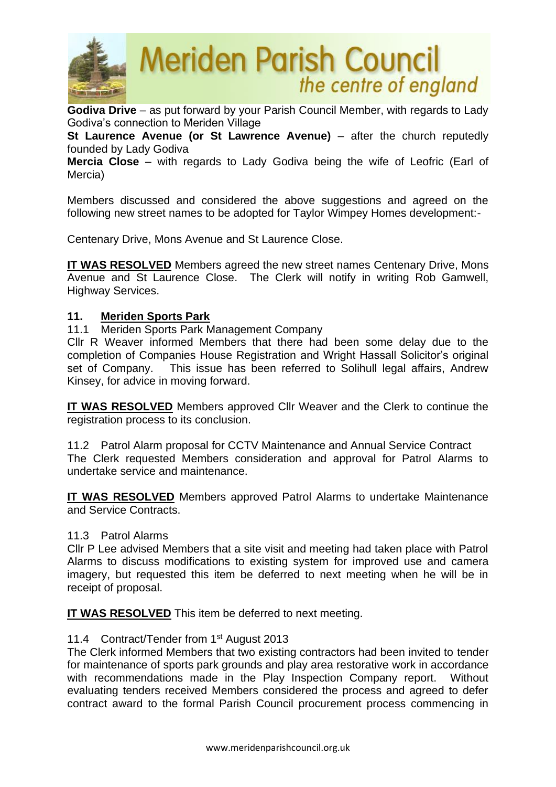

**Godiva Drive** – as put forward by your Parish Council Member, with regards to Lady Godiva's connection to Meriden Village

**St Laurence Avenue (or St Lawrence Avenue)** – after the church reputedly founded by Lady Godiva

**Mercia Close** – with regards to Lady Godiva being the wife of Leofric (Earl of Mercia)

Members discussed and considered the above suggestions and agreed on the following new street names to be adopted for Taylor Wimpey Homes development:-

Centenary Drive, Mons Avenue and St Laurence Close.

**IT WAS RESOLVED** Members agreed the new street names Centenary Drive, Mons Avenue and St Laurence Close. The Clerk will notify in writing Rob Gamwell, Highway Services.

#### **11. Meriden Sports Park**

11.1 Meriden Sports Park Management Company

Cllr R Weaver informed Members that there had been some delay due to the completion of Companies House Registration and Wright Hassall Solicitor's original set of Company. This issue has been referred to Solihull legal affairs, Andrew Kinsey, for advice in moving forward.

**IT WAS RESOLVED** Members approved Cllr Weaver and the Clerk to continue the registration process to its conclusion.

11.2 Patrol Alarm proposal for CCTV Maintenance and Annual Service Contract The Clerk requested Members consideration and approval for Patrol Alarms to undertake service and maintenance.

**IT WAS RESOLVED** Members approved Patrol Alarms to undertake Maintenance and Service Contracts.

#### 11.3 Patrol Alarms

Cllr P Lee advised Members that a site visit and meeting had taken place with Patrol Alarms to discuss modifications to existing system for improved use and camera imagery, but requested this item be deferred to next meeting when he will be in receipt of proposal.

**IT WAS RESOLVED** This item be deferred to next meeting.

# 11.4 Contract/Tender from 1<sup>st</sup> August 2013

The Clerk informed Members that two existing contractors had been invited to tender for maintenance of sports park grounds and play area restorative work in accordance with recommendations made in the Play Inspection Company report. Without evaluating tenders received Members considered the process and agreed to defer contract award to the formal Parish Council procurement process commencing in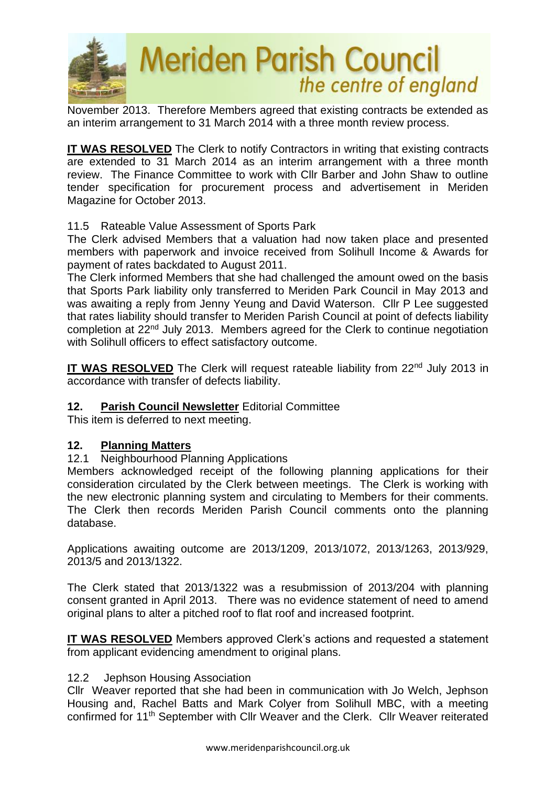

November 2013. Therefore Members agreed that existing contracts be extended as an interim arrangement to 31 March 2014 with a three month review process.

**IT WAS RESOLVED** The Clerk to notify Contractors in writing that existing contracts are extended to 31 March 2014 as an interim arrangement with a three month review. The Finance Committee to work with Cllr Barber and John Shaw to outline tender specification for procurement process and advertisement in Meriden Magazine for October 2013.

#### 11.5 Rateable Value Assessment of Sports Park

The Clerk advised Members that a valuation had now taken place and presented members with paperwork and invoice received from Solihull Income & Awards for payment of rates backdated to August 2011.

The Clerk informed Members that she had challenged the amount owed on the basis that Sports Park liability only transferred to Meriden Park Council in May 2013 and was awaiting a reply from Jenny Yeung and David Waterson. Cllr P Lee suggested that rates liability should transfer to Meriden Parish Council at point of defects liability completion at 22nd July 2013. Members agreed for the Clerk to continue negotiation with Solihull officers to effect satisfactory outcome.

**IT WAS RESOLVED** The Clerk will request rateable liability from 22<sup>nd</sup> July 2013 in accordance with transfer of defects liability.

# **12. Parish Council Newsletter** Editorial Committee

This item is deferred to next meeting.

# **12. Planning Matters**

# 12.1 Neighbourhood Planning Applications

Members acknowledged receipt of the following planning applications for their consideration circulated by the Clerk between meetings. The Clerk is working with the new electronic planning system and circulating to Members for their comments. The Clerk then records Meriden Parish Council comments onto the planning database.

Applications awaiting outcome are 2013/1209, 2013/1072, 2013/1263, 2013/929, 2013/5 and 2013/1322.

The Clerk stated that 2013/1322 was a resubmission of 2013/204 with planning consent granted in April 2013. There was no evidence statement of need to amend original plans to alter a pitched roof to flat roof and increased footprint.

**IT WAS RESOLVED** Members approved Clerk's actions and requested a statement from applicant evidencing amendment to original plans.

#### 12.2 Jephson Housing Association

Cllr Weaver reported that she had been in communication with Jo Welch, Jephson Housing and, Rachel Batts and Mark Colyer from Solihull MBC, with a meeting confirmed for 11th September with Cllr Weaver and the Clerk. Cllr Weaver reiterated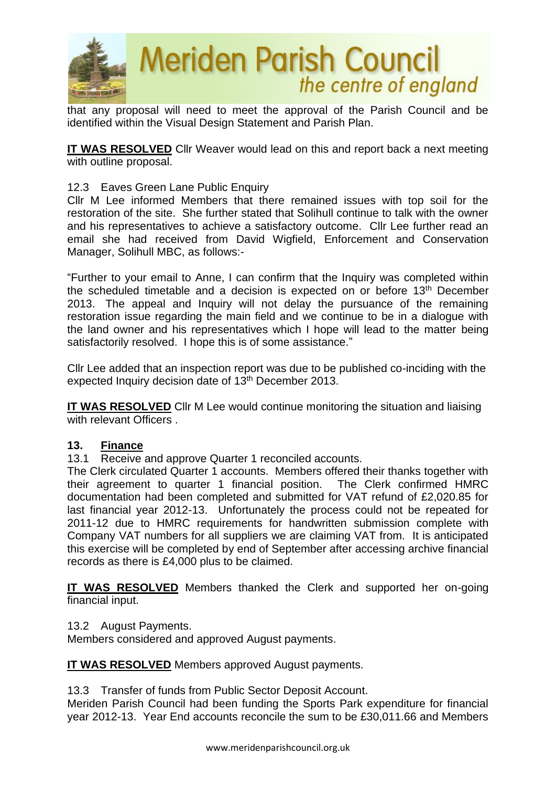

that any proposal will need to meet the approval of the Parish Council and be identified within the Visual Design Statement and Parish Plan.

**IT WAS RESOLVED** Cllr Weaver would lead on this and report back a next meeting with outline proposal.

#### 12.3 Eaves Green Lane Public Enquiry

Cllr M Lee informed Members that there remained issues with top soil for the restoration of the site. She further stated that Solihull continue to talk with the owner and his representatives to achieve a satisfactory outcome. Cllr Lee further read an email she had received from David Wigfield, Enforcement and Conservation Manager, Solihull MBC, as follows:-

"Further to your email to Anne, I can confirm that the Inquiry was completed within the scheduled timetable and a decision is expected on or before 13<sup>th</sup> December 2013. The appeal and Inquiry will not delay the pursuance of the remaining restoration issue regarding the main field and we continue to be in a dialogue with the land owner and his representatives which I hope will lead to the matter being satisfactorily resolved. I hope this is of some assistance."

Cllr Lee added that an inspection report was due to be published co-inciding with the expected Inquiry decision date of 13<sup>th</sup> December 2013.

**IT WAS RESOLVED** Cllr M Lee would continue monitoring the situation and liaising with relevant Officers

#### **13. Finance**

13.1 Receive and approve Quarter 1 reconciled accounts.

The Clerk circulated Quarter 1 accounts. Members offered their thanks together with their agreement to quarter 1 financial position. The Clerk confirmed HMRC documentation had been completed and submitted for VAT refund of £2,020.85 for last financial year 2012-13. Unfortunately the process could not be repeated for 2011-12 due to HMRC requirements for handwritten submission complete with Company VAT numbers for all suppliers we are claiming VAT from. It is anticipated this exercise will be completed by end of September after accessing archive financial records as there is £4,000 plus to be claimed.

**IT WAS RESOLVED** Members thanked the Clerk and supported her on-going financial input.

#### 13.2 August Payments.

Members considered and approved August payments.

**IT WAS RESOLVED** Members approved August payments.

13.3 Transfer of funds from Public Sector Deposit Account.

Meriden Parish Council had been funding the Sports Park expenditure for financial year 2012-13. Year End accounts reconcile the sum to be £30,011.66 and Members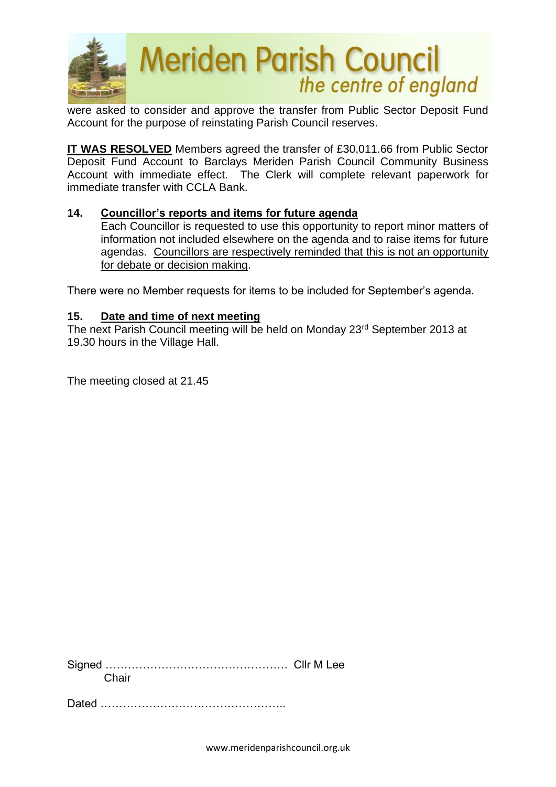

were asked to consider and approve the transfer from Public Sector Deposit Fund Account for the purpose of reinstating Parish Council reserves.

**IT WAS RESOLVED** Members agreed the transfer of £30,011.66 from Public Sector Deposit Fund Account to Barclays Meriden Parish Council Community Business Account with immediate effect. The Clerk will complete relevant paperwork for immediate transfer with CCLA Bank.

#### **14. Councillor's reports and items for future agenda**

Each Councillor is requested to use this opportunity to report minor matters of information not included elsewhere on the agenda and to raise items for future agendas. Councillors are respectively reminded that this is not an opportunity for debate or decision making.

There were no Member requests for items to be included for September's agenda.

#### **15. Date and time of next meeting**

The next Parish Council meeting will be held on Monday 23rd September 2013 at 19.30 hours in the Village Hall.

The meeting closed at 21.45

Signed …………………………………………. Cllr M Lee **Chair** 

Dated **Dated**